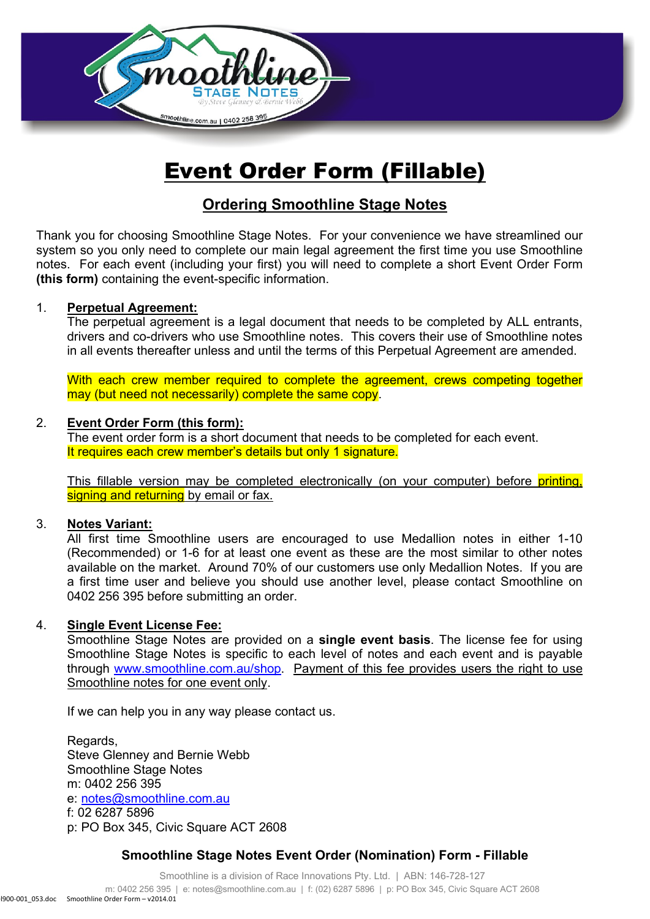

# Event Order Form (Fillable)

## **Ordering Smoothline Stage Notes**

Thank you for choosing Smoothline Stage Notes. For your convenience we have streamlined our system so you only need to complete our main legal agreement the first time you use Smoothline notes. For each event (including your first) you will need to complete a short Event Order Form **(this form)** containing the event-specific information.

#### 1. **Perpetual Agreement:**

The perpetual agreement is a legal document that needs to be completed by ALL entrants, drivers and co-drivers who use Smoothline notes. This covers their use of Smoothline notes in all events thereafter unless and until the terms of this Perpetual Agreement are amended.

With each crew member required to complete the agreement, crews competing together may (but need not necessarily) complete the same copy.

#### 2. **Event Order Form (this form):**

The event order form is a short document that needs to be completed for each event. It requires each crew member's details but only 1 signature.

This fillable version may be completed electronically (on your computer) before printing, signing and returning by email or fax.

#### 3. **Notes Variant:**

All first time Smoothline users are encouraged to use Medallion notes in either 1-10 (Recommended) or 1-6 for at least one event as these are the most similar to other notes available on the market. Around 70% of our customers use only Medallion Notes. If you are a first time user and believe you should use another level, please contact Smoothline on 0402 256 395 before submitting an order.

#### 4. **Single Event License Fee:**

Smoothline Stage Notes are provided on a **single event basis**. The license fee for using Smoothline Stage Notes is specific to each level of notes and each event and is payable through [www.smoothline.com.au/shop.](http://www.smoothline.com.au/shop) Payment of this fee provides users the right to use Smoothline notes for one event only.

If we can help you in any way please contact us.

Regards, Steve Glenney and Bernie Webb Smoothline Stage Notes m: 0402 256 395 e: [notes@smoothline.com.au](mailto:notes@smoothline.com.au) f: 02 6287 5896 p: PO Box 345, Civic Square ACT 2608

#### **Smoothline Stage Notes Event Order (Nomination) Form - Fillable**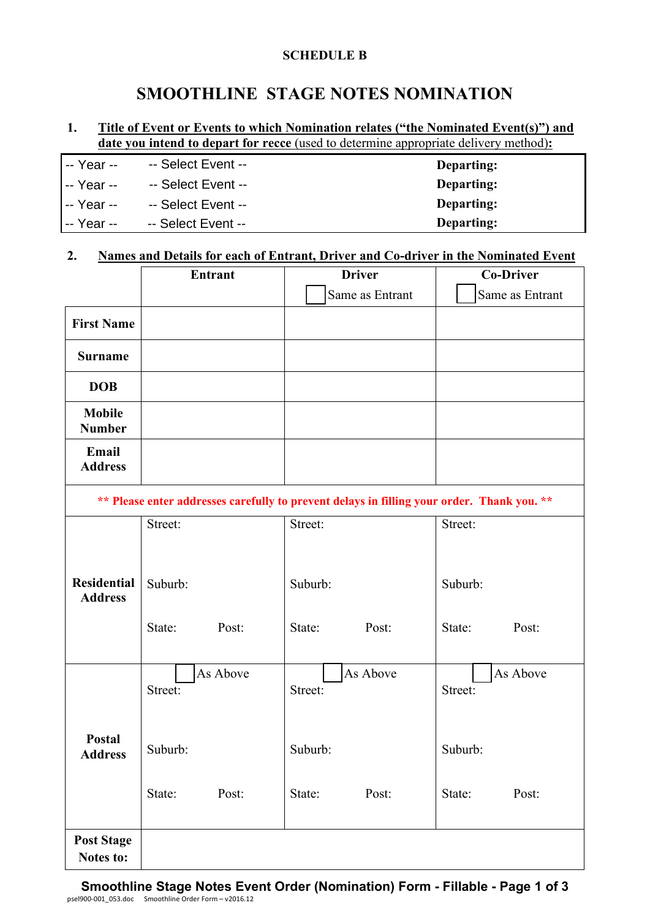#### **SCHEDULE B**

## **SMOOTHLINE STAGE NOTES NOMINATION**

#### **1. Title of Event or Events to which Nomination relates ("the Nominated Event(s)") and date you intend to depart for recce** (used to determine appropriate delivery method)**:**

| I -- Year --        | -- Select Event -- | Departing: |
|---------------------|--------------------|------------|
| I-- Year --         | -- Select Event -- | Departing: |
| I-- Year --         | -- Select Event -- | Departing: |
| <b>I</b> -- Year -- | -- Select Event -- | Departing: |

#### **2. Names and Details for each of Entrant, Driver and Co-driver in the Nominated Event**

|                                      |                                                                                            | <b>Entrant</b> | <b>Driver</b>   |          | <b>Co-Driver</b> |          |  |  |
|--------------------------------------|--------------------------------------------------------------------------------------------|----------------|-----------------|----------|------------------|----------|--|--|
|                                      |                                                                                            |                | Same as Entrant |          | Same as Entrant  |          |  |  |
| <b>First Name</b>                    |                                                                                            |                |                 |          |                  |          |  |  |
| <b>Surname</b>                       |                                                                                            |                |                 |          |                  |          |  |  |
| <b>DOB</b>                           |                                                                                            |                |                 |          |                  |          |  |  |
| <b>Mobile</b><br><b>Number</b>       |                                                                                            |                |                 |          |                  |          |  |  |
| Email<br><b>Address</b>              |                                                                                            |                |                 |          |                  |          |  |  |
|                                      | ** Please enter addresses carefully to prevent delays in filling your order. Thank you. ** |                |                 |          |                  |          |  |  |
|                                      | Street:                                                                                    |                | Street:         |          | Street:          |          |  |  |
| <b>Residential</b><br><b>Address</b> | Suburb:                                                                                    |                | Suburb:         |          | Suburb:          |          |  |  |
|                                      | State:                                                                                     | Post:          | State:          | Post:    | State:           | Post:    |  |  |
| Postal<br><b>Address</b>             | Street:                                                                                    | As Above       | Street:         | As Above | Street:          | As Above |  |  |
|                                      | Suburb:                                                                                    |                | Suburb:         |          | Suburb:          |          |  |  |
|                                      | State:                                                                                     | Post:          | State:          | Post:    | State:           | Post:    |  |  |
| <b>Post Stage</b><br>Notes to:       |                                                                                            |                |                 |          |                  |          |  |  |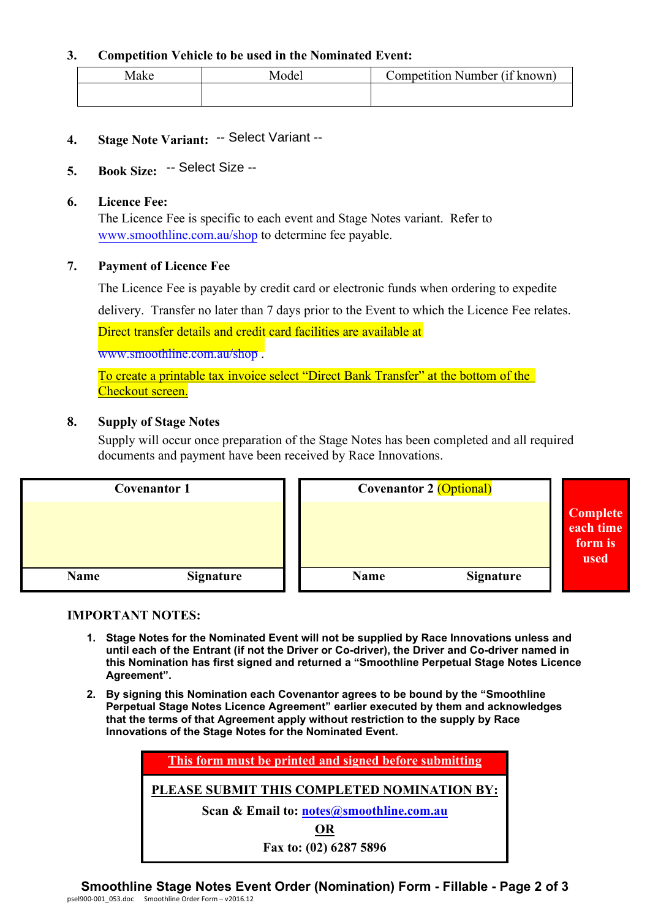#### **3. Competition Vehicle to be used in the Nominated Event:**

| Make | ∕Iodel | $\cdots$ $\alpha$ 1           |  |
|------|--------|-------------------------------|--|
|      |        | Competition Number (11 known) |  |
|      |        |                               |  |

**4. Stage Note Variant:** -- Select Variant --

## **5. Book Size:** -- Select Size --

#### **6. Licence Fee:**

The Licence Fee is specific to each event and Stage Notes variant. Refer to [www.smoothline.com.au/shop](http://www.smoothline.com.au/shop) to determine fee payable.

#### **7. Payment of Licence Fee**

The Licence Fee is payable by credit card or electronic funds when ordering to expedite

delivery. Transfer no later than 7 days prior to the Event to which the Licence Fee relates.

Direct transfer details and credit card facilities are available at

[www.smoothline.com.au/shop](http://www.smoothline.com.au/shop) .

To create a printable tax invoice select "Direct Bank Transfer" at the bottom of the Checkout screen.

#### **8. Supply of Stage Notes**

Supply will occur once preparation of the Stage Notes has been completed and all required documents and payment have been received by Race Innovations.

| <b>Covenantor 1</b> |                  | <b>Covenantor 2 (Optional)</b> |                  |                                          |
|---------------------|------------------|--------------------------------|------------------|------------------------------------------|
|                     |                  |                                |                  | Complete<br>each time<br>form is<br>used |
| <b>Name</b>         | <b>Signature</b> | Name                           | <b>Signature</b> |                                          |

#### **IMPORTANT NOTES:**

- **1. Stage Notes for the Nominated Event will not be supplied by Race Innovations unless and until each of the Entrant (if not the Driver or Co-driver), the Driver and Co-driver named in this Nomination has first signed and returned a "Smoothline Perpetual Stage Notes Licence Agreement".**
- **2. By signing this Nomination each Covenantor agrees to be bound by the "Smoothline Perpetual Stage Notes Licence Agreement" earlier executed by them and acknowledges that the terms of that Agreement apply without restriction to the supply by Race Innovations of the Stage Notes for the Nominated Event.**